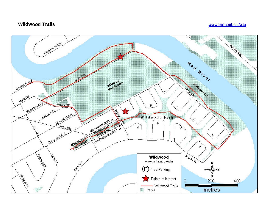## **Wildwood Trails www.mrta.mb.ca/wta**

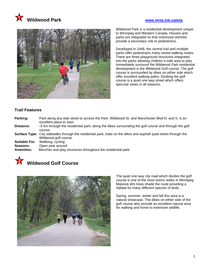



Wildwood Park is a residential development unique to Winnipeg and Western Canada. Houses and parks are integrated so that motorized vehicles provide a secondary role to pedestrians.

Developed in 1948, the central trail and multiple parks offer pedestrains many varied walking routes. There are three playground structures integrated into the parks allowing children a safe area to play. Immediately surround the Wildwood Park residential development is the Wildwood Golf course. The golf course is surrounded by dikes on either side which offer excellent walking paths. Divdiing the golf course is a quiet one way street which offers specular views in all seasons.

## **Trail Features**

- **Parking:** Park along any side street to access the Park. Wildwood St. and Manchester Blvd N. and S. is an excellent place to start. **Distance:** ~5 km through the residential park, along the dikes surrounding the golf course and through the golf course. **Surface Type:** City sidewalks through the residential park, trails on the dikes and asphalt quiet street through the Wildwood golf course. **Suitable For:** Wallking, cycling
- **Seasons:** Open year around.<br>**Amenities:** Benches and play s
- **Amenities:** Benches and play structures throughout the residential park.





The quiet one way city road which divides the golf course is one of the most scenic walks in Winnipeg. Massive elm trees shade the route providing a habitat for many different species of birds.

Spring, summer, winter and fall this area is a natural showcase. The dikes on either side of the golf course also provide an excellent natural area for walking and home to extensive wildlife.